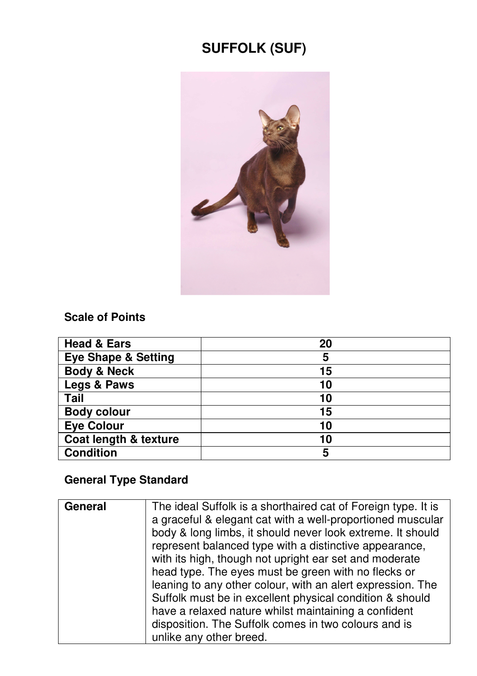# **SUFFOLK (SUF)**



#### **Scale of Points**

| <b>Head &amp; Ears</b>         | 20 |
|--------------------------------|----|
| <b>Eye Shape &amp; Setting</b> | 5  |
| <b>Body &amp; Neck</b>         | 15 |
| Legs & Paws                    | 10 |
| Tail                           | 10 |
| <b>Body colour</b>             | 15 |
| <b>Eye Colour</b>              | 10 |
| Coat length & texture          | 10 |
| <b>Condition</b>               | 5  |

## **General Type Standard**

| General | The ideal Suffolk is a shorthaired cat of Foreign type. It is<br>a graceful & elegant cat with a well-proportioned muscular<br>body & long limbs, it should never look extreme. It should<br>represent balanced type with a distinctive appearance,<br>with its high, though not upright ear set and moderate<br>head type. The eyes must be green with no flecks or<br>leaning to any other colour, with an alert expression. The<br>Suffolk must be in excellent physical condition & should<br>have a relaxed nature whilst maintaining a confident |
|---------|--------------------------------------------------------------------------------------------------------------------------------------------------------------------------------------------------------------------------------------------------------------------------------------------------------------------------------------------------------------------------------------------------------------------------------------------------------------------------------------------------------------------------------------------------------|
|         | disposition. The Suffolk comes in two colours and is<br>unlike any other breed.                                                                                                                                                                                                                                                                                                                                                                                                                                                                        |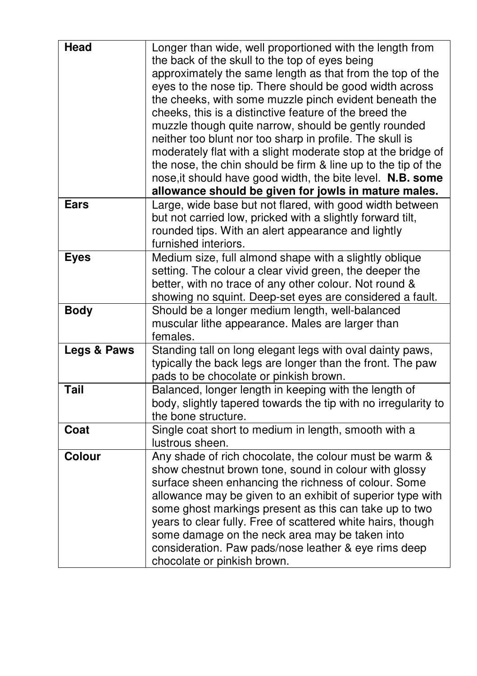| Head        | Longer than wide, well proportioned with the length from<br>the back of the skull to the top of eyes being<br>approximately the same length as that from the top of the<br>eyes to the nose tip. There should be good width across<br>the cheeks, with some muzzle pinch evident beneath the<br>cheeks, this is a distinctive feature of the breed the<br>muzzle though quite narrow, should be gently rounded<br>neither too blunt nor too sharp in profile. The skull is<br>moderately flat with a slight moderate stop at the bridge of<br>the nose, the chin should be firm & line up to the tip of the<br>nose, it should have good width, the bite level. N.B. some<br>allowance should be given for jowls in mature males. |
|-------------|-----------------------------------------------------------------------------------------------------------------------------------------------------------------------------------------------------------------------------------------------------------------------------------------------------------------------------------------------------------------------------------------------------------------------------------------------------------------------------------------------------------------------------------------------------------------------------------------------------------------------------------------------------------------------------------------------------------------------------------|
| <b>Ears</b> | Large, wide base but not flared, with good width between<br>but not carried low, pricked with a slightly forward tilt,<br>rounded tips. With an alert appearance and lightly<br>furnished interiors.                                                                                                                                                                                                                                                                                                                                                                                                                                                                                                                              |
| <b>Eyes</b> | Medium size, full almond shape with a slightly oblique<br>setting. The colour a clear vivid green, the deeper the<br>better, with no trace of any other colour. Not round &<br>showing no squint. Deep-set eyes are considered a fault.                                                                                                                                                                                                                                                                                                                                                                                                                                                                                           |
| <b>Body</b> | Should be a longer medium length, well-balanced<br>muscular lithe appearance. Males are larger than<br>females.                                                                                                                                                                                                                                                                                                                                                                                                                                                                                                                                                                                                                   |
| Legs & Paws | Standing tall on long elegant legs with oval dainty paws,<br>typically the back legs are longer than the front. The paw<br>pads to be chocolate or pinkish brown.                                                                                                                                                                                                                                                                                                                                                                                                                                                                                                                                                                 |
| Tail        | Balanced, longer length in keeping with the length of<br>body, slightly tapered towards the tip with no irregularity to<br>the bone structure.                                                                                                                                                                                                                                                                                                                                                                                                                                                                                                                                                                                    |
| Coat        | Single coat short to medium in length, smooth with a<br>lustrous sheen.                                                                                                                                                                                                                                                                                                                                                                                                                                                                                                                                                                                                                                                           |
| Colour      | Any shade of rich chocolate, the colour must be warm &<br>show chestnut brown tone, sound in colour with glossy<br>surface sheen enhancing the richness of colour. Some<br>allowance may be given to an exhibit of superior type with<br>some ghost markings present as this can take up to two<br>years to clear fully. Free of scattered white hairs, though<br>some damage on the neck area may be taken into<br>consideration. Paw pads/nose leather & eye rims deep<br>chocolate or pinkish brown.                                                                                                                                                                                                                           |